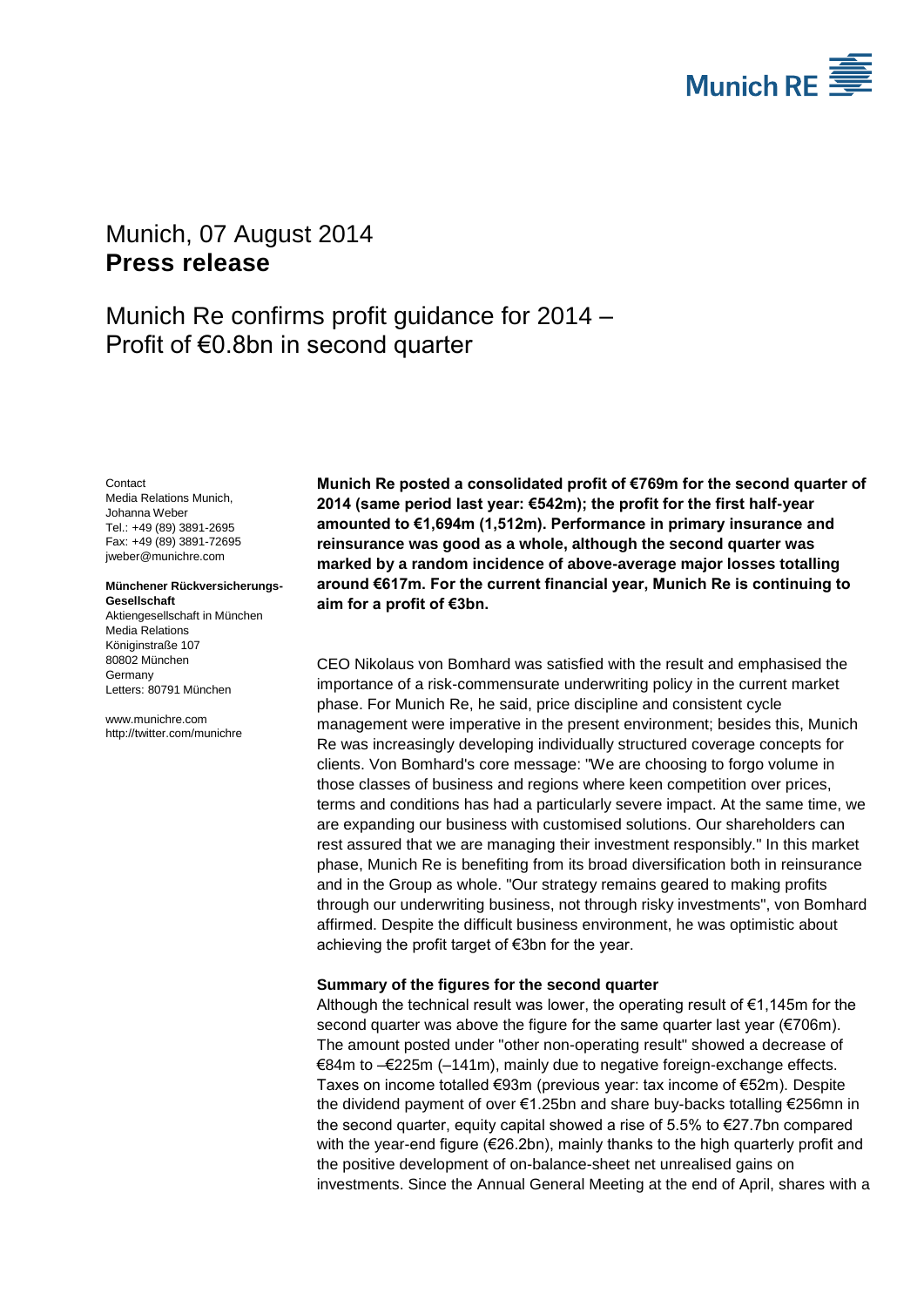

# <span id="page-0-2"></span>Munich, 07 August 2014 **Press release**

Munich Re confirms profit guidance for 2014 – Profit of €0.8bn in second quarter

**Contact** 

<span id="page-0-1"></span><span id="page-0-0"></span>Media Relations Munich, Johanna Weber Tel.: +49 (89) 3891-2695 Fax: +49 (89) 3891-72695 jweber@munichre.com

**Münchener Rückversicherungs-Gesellschaft** Aktiengesellschaft in München

Media Relations Königinstraße 107 80802 München **Germany** Letters: 80791 München

www.munichre.com http://twitter.com/munichre **Munich Re posted a consolidated profit of €769m for the second quarter of 2014 (same period last year: €542m); the profit for the first half-year amounted to €1,694m (1,512m). Performance in primary insurance and reinsurance was good as a whole, although the second quarter was marked by a random incidence of above-average major losses totalling around €617m. For the current financial year, Munich Re is continuing to aim for a profit of €3bn.**

CEO Nikolaus von Bomhard was satisfied with the result and emphasised the importance of a risk-commensurate underwriting policy in the current market phase. For Munich Re, he said, price discipline and consistent cycle management were imperative in the present environment; besides this, Munich Re was increasingly developing individually structured coverage concepts for clients. Von Bomhard's core message: "We are choosing to forgo volume in those classes of business and regions where keen competition over prices, terms and conditions has had a particularly severe impact. At the same time, we are expanding our business with customised solutions. Our shareholders can rest assured that we are managing their investment responsibly." In this market phase, Munich Re is benefiting from its broad diversification both in reinsurance and in the Group as whole. "Our strategy remains geared to making profits through our underwriting business, not through risky investments", von Bomhard affirmed. Despite the difficult business environment, he was optimistic about achieving the profit target of €3bn for the year.

## **Summary of the figures for the second quarter**

Although the technical result was lower, the operating result of  $\epsilon$ 1,145m for the second quarter was above the figure for the same quarter last year (€706m). The amount posted under "other non-operating result" showed a decrease of €84m to –€225m (–141m), mainly due to negative foreign-exchange effects. Taxes on income totalled €93m (previous year: tax income of €52m). Despite the dividend payment of over €1.25bn and share buy-backs totalling €256mn in the second quarter, equity capital showed a rise of 5.5% to €27.7bn compared with the year-end figure  $(\epsilon 26.2b)$ , mainly thanks to the high quarterly profit and the positive development of on-balance-sheet net unrealised gains on investments. Since the Annual General Meeting at the end of April, shares with a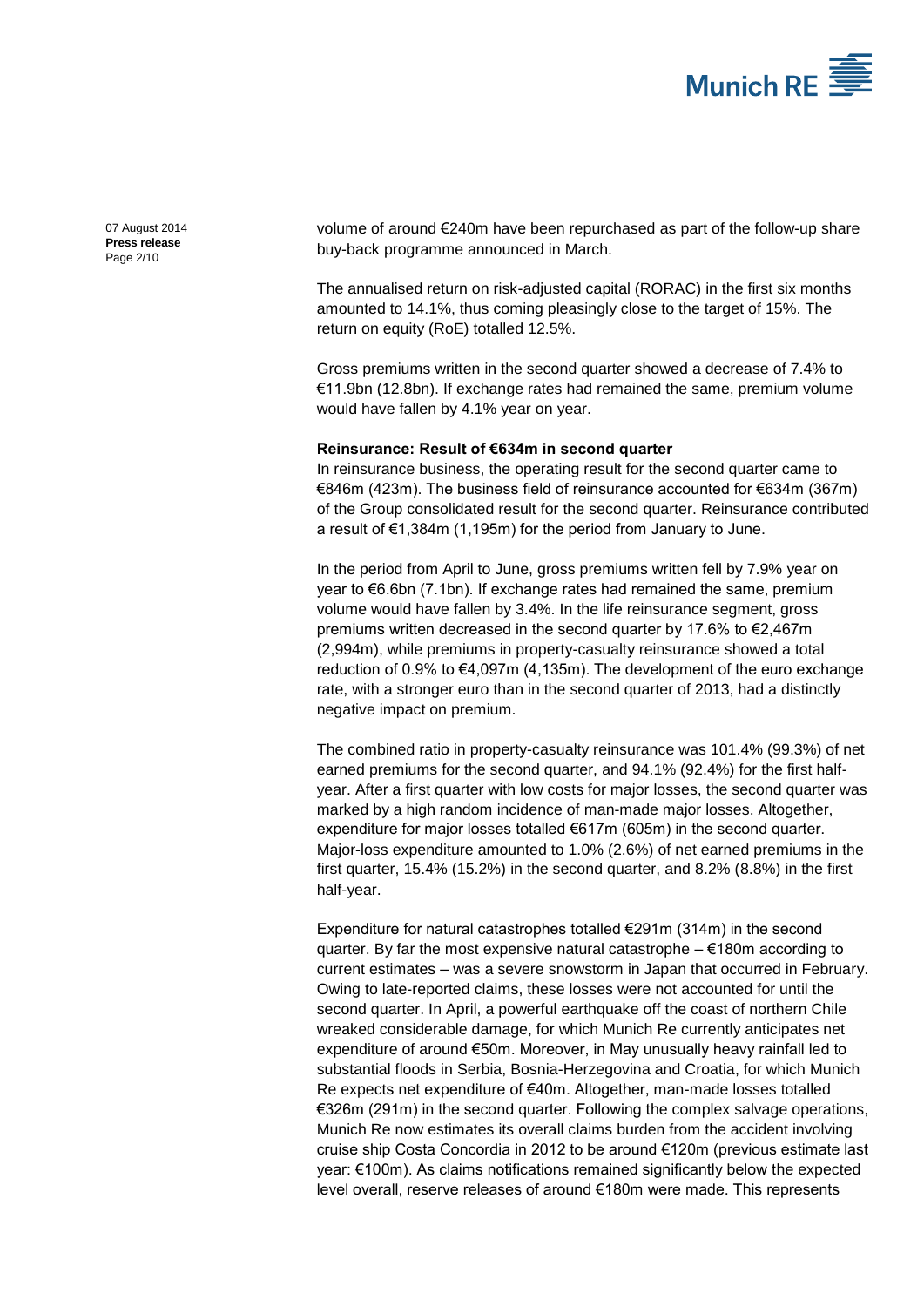

07 August 2014 **Press release** Page 2/10

volume of around €240m have been repurchased as part of the follow-up share buy-back programme announced in March.

The annualised return on risk-adjusted capital (RORAC) in the first six months amounted to 14.1%, thus coming pleasingly close to the target of 15%. The return on equity (RoE) totalled 12.5%.

Gross premiums written in the second quarter showed a decrease of 7.4% to €11.9bn (12.8bn). If exchange rates had remained the same, premium volume would have fallen by 4.1% year on year.

#### **Reinsurance: Result of €634m in second quarter**

In reinsurance business, the operating result for the second quarter came to €846m (423m). The business field of reinsurance accounted for €634m (367m) of the Group consolidated result for the second quarter. Reinsurance contributed a result of €1,384m (1,195m) for the period from January to June.

In the period from April to June, gross premiums written fell by 7.9% year on year to €6.6bn (7.1bn). If exchange rates had remained the same, premium volume would have fallen by 3.4%. In the life reinsurance segment, gross premiums written decreased in the second quarter by 17.6% to €2,467m (2,994m), while premiums in property-casualty reinsurance showed a total reduction of 0.9% to €4,097m (4,135m). The development of the euro exchange rate, with a stronger euro than in the second quarter of 2013, had a distinctly negative impact on premium.

The combined ratio in property-casualty reinsurance was 101.4% (99.3%) of net earned premiums for the second quarter, and 94.1% (92.4%) for the first halfyear. After a first quarter with low costs for major losses, the second quarter was marked by a high random incidence of man-made major losses. Altogether, expenditure for major losses totalled €617m (605m) in the second quarter. Major-loss expenditure amounted to 1.0% (2.6%) of net earned premiums in the first quarter, 15.4% (15.2%) in the second quarter, and 8.2% (8.8%) in the first half-year.

Expenditure for natural catastrophes totalled €291m (314m) in the second quarter. By far the most expensive natural catastrophe  $\epsilon$ 180m according to current estimates – was a severe snowstorm in Japan that occurred in February. Owing to late-reported claims, these losses were not accounted for until the second quarter. In April, a powerful earthquake off the coast of northern Chile wreaked considerable damage, for which Munich Re currently anticipates net expenditure of around €50m. Moreover, in May unusually heavy rainfall led to substantial floods in Serbia, Bosnia-Herzegovina and Croatia, for which Munich Re expects net expenditure of €40m. Altogether, man-made losses totalled €326m (291m) in the second quarter. Following the complex salvage operations, Munich Re now estimates its overall claims burden from the accident involving cruise ship Costa Concordia in 2012 to be around €120m (previous estimate last year: €100m). As claims notifications remained significantly below the expected level overall, reserve releases of around €180m were made. This represents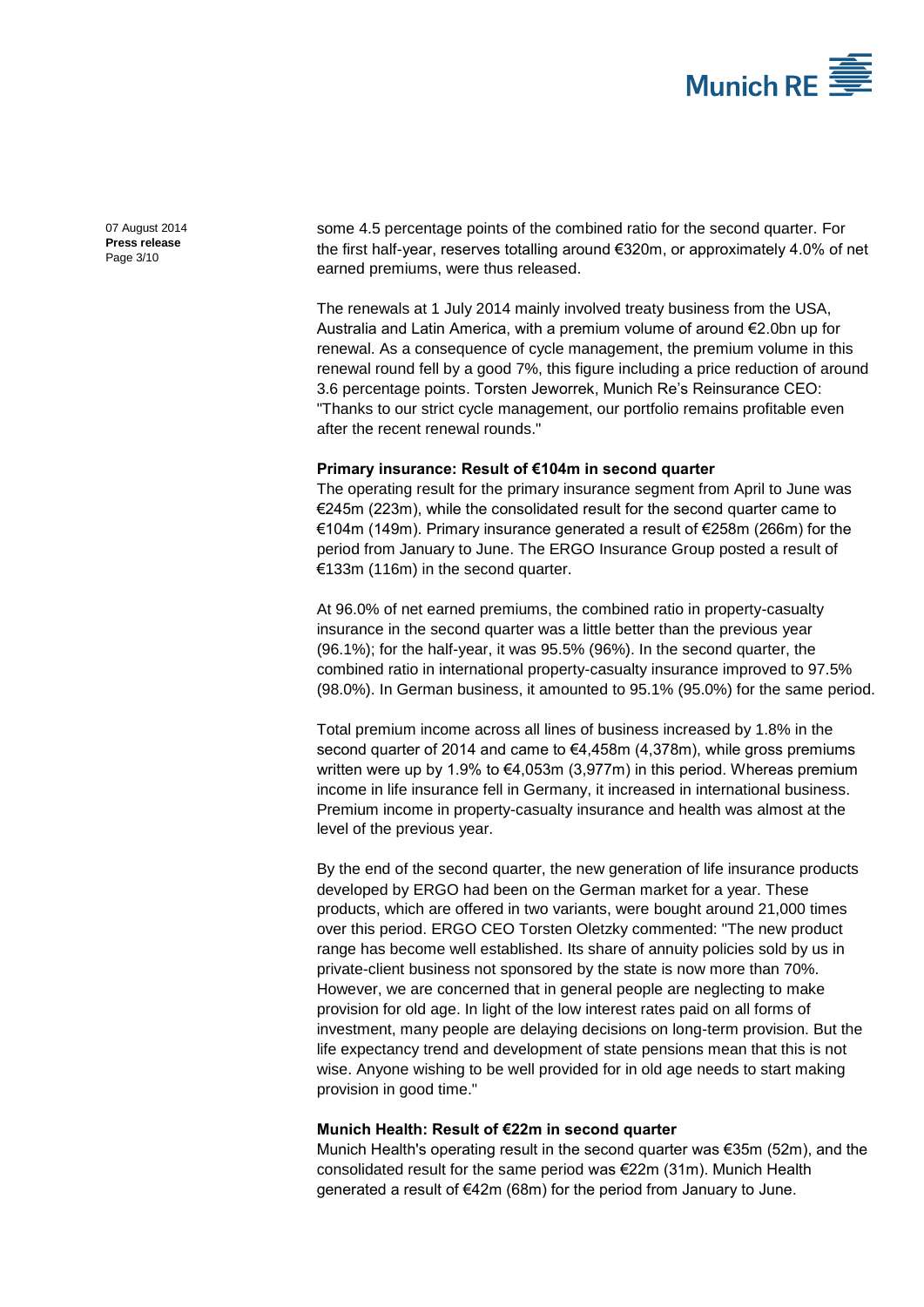

07 August 2014 **Press release** Page 3/10

some 4.5 percentage points of the combined ratio for the second quarter. For the first half-year, reserves totalling around €320m, or approximately 4.0% of net earned premiums, were thus released.

The renewals at 1 July 2014 mainly involved treaty business from the USA, Australia and Latin America, with a premium volume of around €2.0bn up for renewal. As a consequence of cycle management, the premium volume in this renewal round fell by a good 7%, this figure including a price reduction of around 3.6 percentage points. Torsten Jeworrek, Munich Re's Reinsurance CEO: "Thanks to our strict cycle management, our portfolio remains profitable even after the recent renewal rounds."

#### **Primary insurance: Result of €104m in second quarter**

The operating result for the primary insurance segment from April to June was €245m (223m), while the consolidated result for the second quarter came to €104m (149m). Primary insurance generated a result of €258m (266m) for the period from January to June. The ERGO Insurance Group posted a result of €133m (116m) in the second quarter.

At 96.0% of net earned premiums, the combined ratio in property-casualty insurance in the second quarter was a little better than the previous year (96.1%); for the half-year, it was 95.5% (96%). In the second quarter, the combined ratio in international property-casualty insurance improved to 97.5% (98.0%). In German business, it amounted to 95.1% (95.0%) for the same period.

Total premium income across all lines of business increased by 1.8% in the second quarter of 2014 and came to €4,458m (4,378m), while gross premiums written were up by 1.9% to €4,053m (3,977m) in this period. Whereas premium income in life insurance fell in Germany, it increased in international business. Premium income in property-casualty insurance and health was almost at the level of the previous year.

By the end of the second quarter, the new generation of life insurance products developed by ERGO had been on the German market for a year. These products, which are offered in two variants, were bought around 21,000 times over this period. ERGO CEO Torsten Oletzky commented: "The new product range has become well established. Its share of annuity policies sold by us in private-client business not sponsored by the state is now more than 70%. However, we are concerned that in general people are neglecting to make provision for old age. In light of the low interest rates paid on all forms of investment, many people are delaying decisions on long-term provision. But the life expectancy trend and development of state pensions mean that this is not wise. Anyone wishing to be well provided for in old age needs to start making provision in good time."

## **Munich Health: Result of €22m in second quarter**

Munich Health's operating result in the second quarter was €35m (52m), and the consolidated result for the same period was €22m (31m). Munich Health generated a result of €42m (68m) for the period from January to June.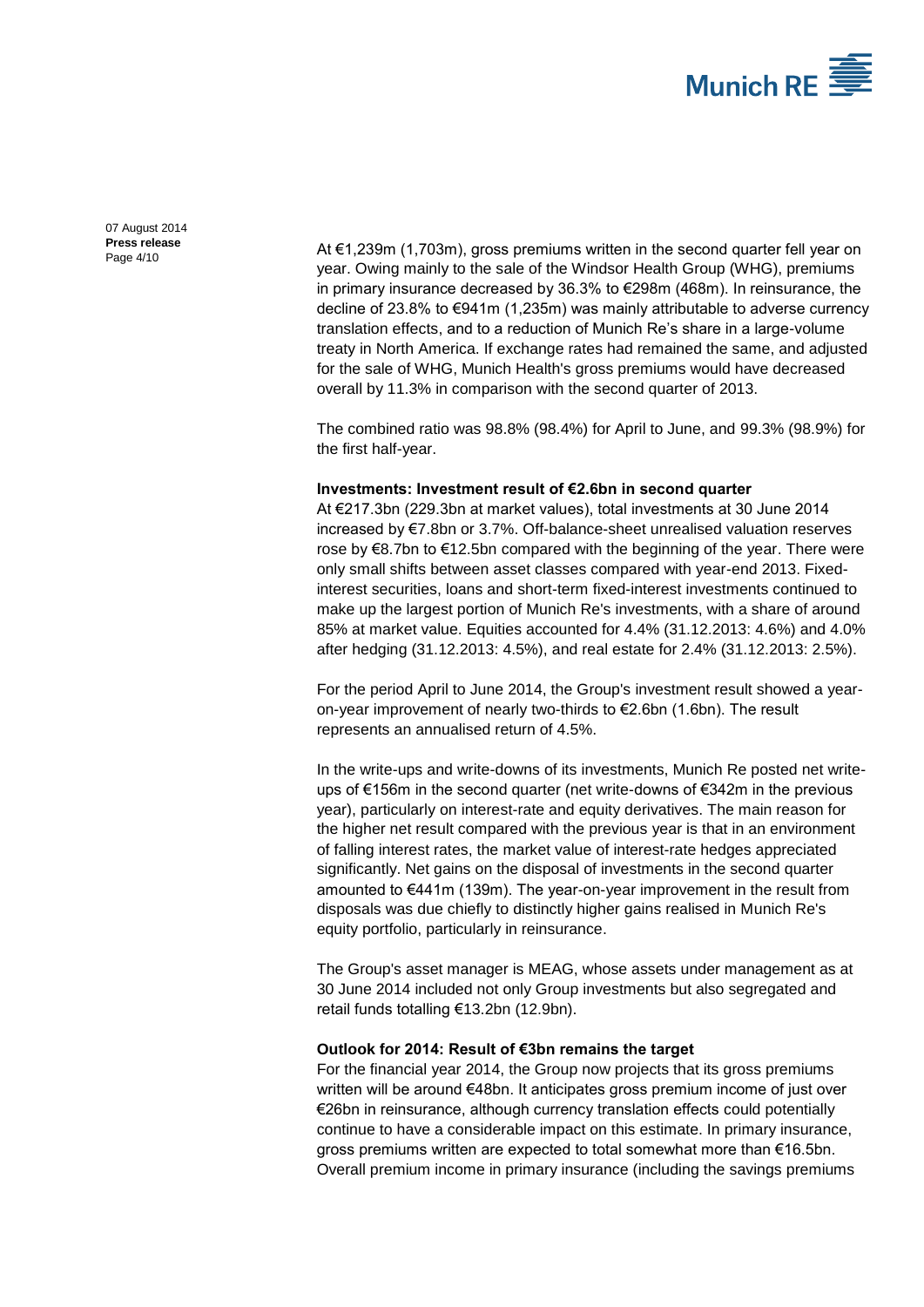

07 August 2014 **Press release**

Press release<br>Page  $4/10$  At  $\epsilon$ 1,239m (1,703m), gross premiums written in the second quarter fell year on year. Owing mainly to the sale of the Windsor Health Group (WHG), premiums in primary insurance decreased by 36.3% to €298m (468m). In reinsurance, the decline of 23.8% to €941m (1,235m) was mainly attributable to adverse currency translation effects, and to a reduction of Munich Re's share in a large-volume treaty in North America. If exchange rates had remained the same, and adjusted for the sale of WHG, Munich Health's gross premiums would have decreased overall by 11.3% in comparison with the second quarter of 2013.

> The combined ratio was 98.8% (98.4%) for April to June, and 99.3% (98.9%) for the first half-year.

#### **Investments: Investment result of €2.6bn in second quarter**

At €217.3bn (229.3bn at market values), total investments at 30 June 2014 increased by €7.8bn or 3.7%. Off-balance-sheet unrealised valuation reserves rose by €8.7bn to €12.5bn compared with the beginning of the year. There were only small shifts between asset classes compared with year-end 2013. Fixedinterest securities, loans and short-term fixed-interest investments continued to make up the largest portion of Munich Re's investments, with a share of around 85% at market value. Equities accounted for 4.4% (31.12.2013: 4.6%) and 4.0% after hedging (31.12.2013: 4.5%), and real estate for 2.4% (31.12.2013: 2.5%).

For the period April to June 2014, the Group's investment result showed a yearon-year improvement of nearly two-thirds to €2.6bn (1.6bn). The result represents an annualised return of 4.5%.

In the write-ups and write-downs of its investments, Munich Re posted net writeups of €156m in the second quarter (net write-downs of €342m in the previous year), particularly on interest-rate and equity derivatives. The main reason for the higher net result compared with the previous year is that in an environment of falling interest rates, the market value of interest-rate hedges appreciated significantly. Net gains on the disposal of investments in the second quarter amounted to €441m (139m). The year-on-year improvement in the result from disposals was due chiefly to distinctly higher gains realised in Munich Re's equity portfolio, particularly in reinsurance.

The Group's asset manager is MEAG, whose assets under management as at 30 June 2014 included not only Group investments but also segregated and retail funds totalling €13.2bn (12.9bn).

## **Outlook for 2014: Result of €3bn remains the target**

For the financial year 2014, the Group now projects that its gross premiums written will be around €48bn. It anticipates gross premium income of just over €26bn in reinsurance, although currency translation effects could potentially continue to have a considerable impact on this estimate. In primary insurance, gross premiums written are expected to total somewhat more than €16.5bn. Overall premium income in primary insurance (including the savings premiums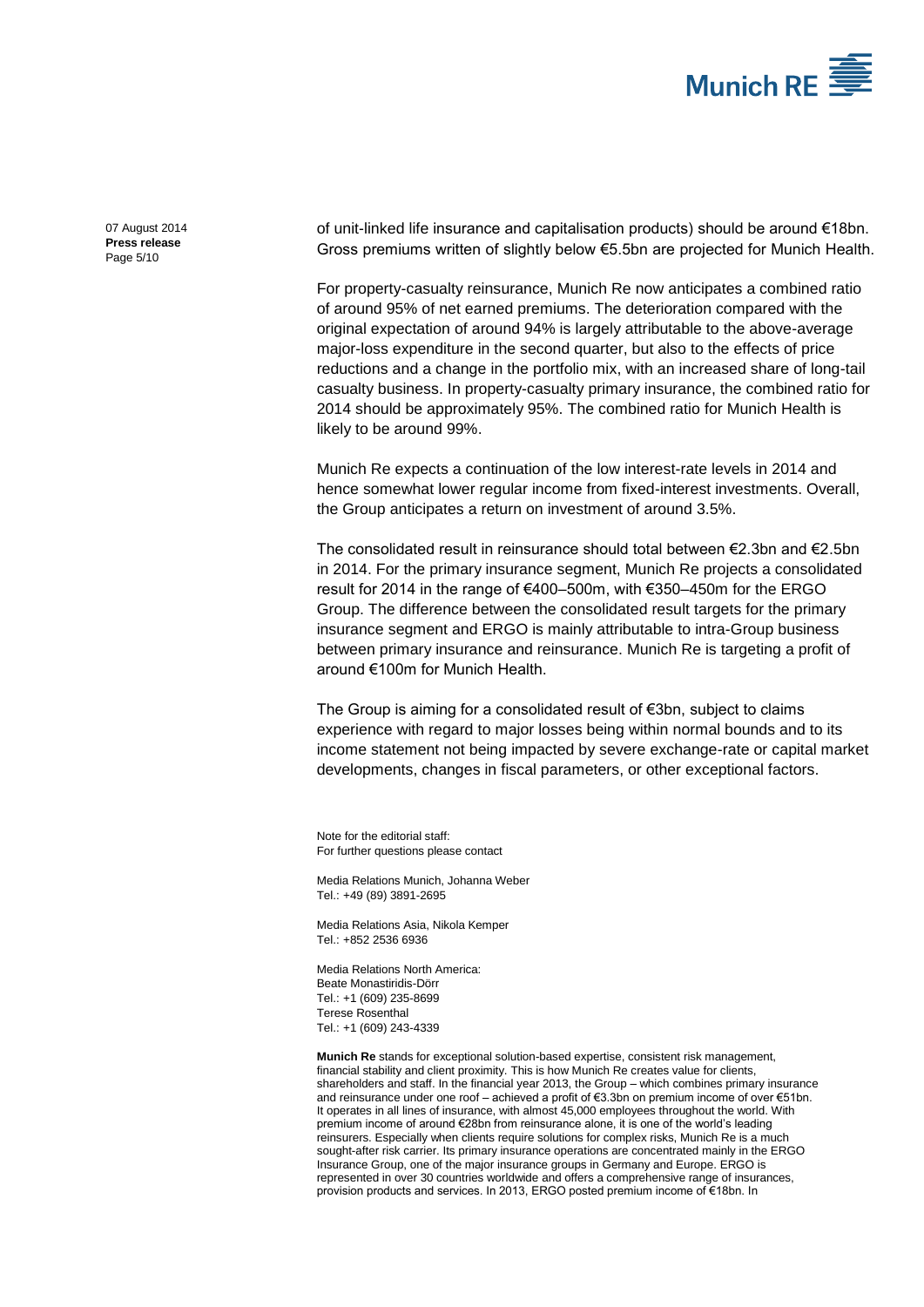

07 August 2014 **Press release** Page 5/10

of unit-linked life insurance and capitalisation products) should be around €18bn. Gross premiums written of slightly below €5.5bn are projected for Munich Health.

For property-casualty reinsurance, Munich Re now anticipates a combined ratio of around 95% of net earned premiums. The deterioration compared with the original expectation of around 94% is largely attributable to the above-average major-loss expenditure in the second quarter, but also to the effects of price reductions and a change in the portfolio mix, with an increased share of long-tail casualty business. In property-casualty primary insurance, the combined ratio for 2014 should be approximately 95%. The combined ratio for Munich Health is likely to be around 99%.

Munich Re expects a continuation of the low interest-rate levels in 2014 and hence somewhat lower regular income from fixed-interest investments. Overall, the Group anticipates a return on investment of around 3.5%.

The consolidated result in reinsurance should total between €2.3bn and €2.5bn in 2014. For the primary insurance segment, Munich Re projects a consolidated result for 2014 in the range of €400–500m, with €350–450m for the ERGO Group. The difference between the consolidated result targets for the primary insurance segment and ERGO is mainly attributable to intra-Group business between primary insurance and reinsurance. Munich Re is targeting a profit of around €100m for Munich Health.

The Group is aiming for a consolidated result of €3bn, subject to claims experience with regard to major losses being within normal bounds and to its income statement not being impacted by severe exchange-rate or capital market developments, changes in fiscal parameters, or other exceptional factors.

Note for the editorial staff: For further questions please contact

Media Relations Munich[, Johanna Weber](#page-0-0) Tel.: +49 (89) 389[1-2695](#page-0-1)

Media Relations Asia, Nikola Kemper Tel.: +852 2536 6936

Media Relations North America: Beate Monastiridis-Dörr Tel.: +1 (609) 235-8699 Terese Rosenthal Tel.: +1 (609) 243-4339

**Munich Re** stands for exceptional solution-based expertise, consistent risk management, financial stability and client proximity. This is how Munich Re creates value for clients, shareholders and staff. In the financial year 2013, the Group – which combines primary insurance and reinsurance under one roof – achieved a profit of €3.3bn on premium income of over €51bn. It operates in all lines of insurance, with almost 45,000 employees throughout the world. With premium income of around €28bn from reinsurance alone, it is one of the world's leading reinsurers. Especially when clients require solutions for complex risks, Munich Re is a much sought-after risk carrier. Its primary insurance operations are concentrated mainly in the ERGO Insurance Group, one of the major insurance groups in Germany and Europe. ERGO is represented in over 30 countries worldwide and offers a comprehensive range of insurances, provision products and services. In 2013, ERGO posted premium income of €18bn. In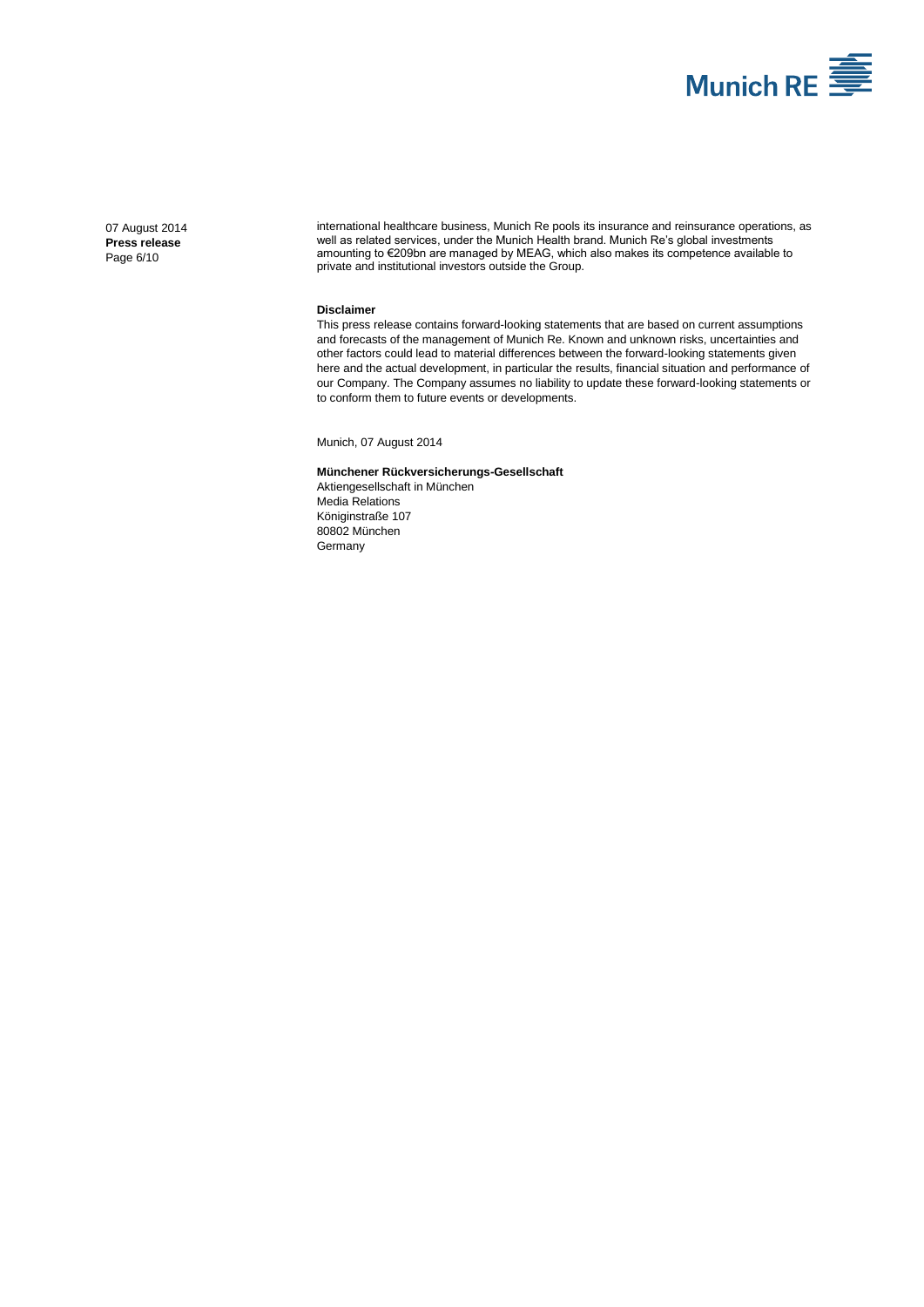

07 August 2014 **Press release** Page 6/10

international healthcare business, Munich Re pools its insurance and reinsurance operations, as well as related services, under the Munich Health brand. Munich Re's global investments amounting to €209bn are managed by MEAG, which also makes its competence available to private and institutional investors outside the Group.

#### **Disclaimer**

This press release contains forward-looking statements that are based on current assumptions and forecasts of the management of Munich Re. Known and unknown risks, uncertainties and other factors could lead to material differences between the forward-looking statements given here and the actual development, in particular the results, financial situation and performance of our Company. The Company assumes no liability to update these forward-looking statements or to conform them to future events or developments.

Munich[, 07 August 2014](#page-0-2)

#### **Münchener Rückversicherungs-Gesellschaft**

Aktiengesellschaft in München Media Relations Königinstraße 107 80802 München Germany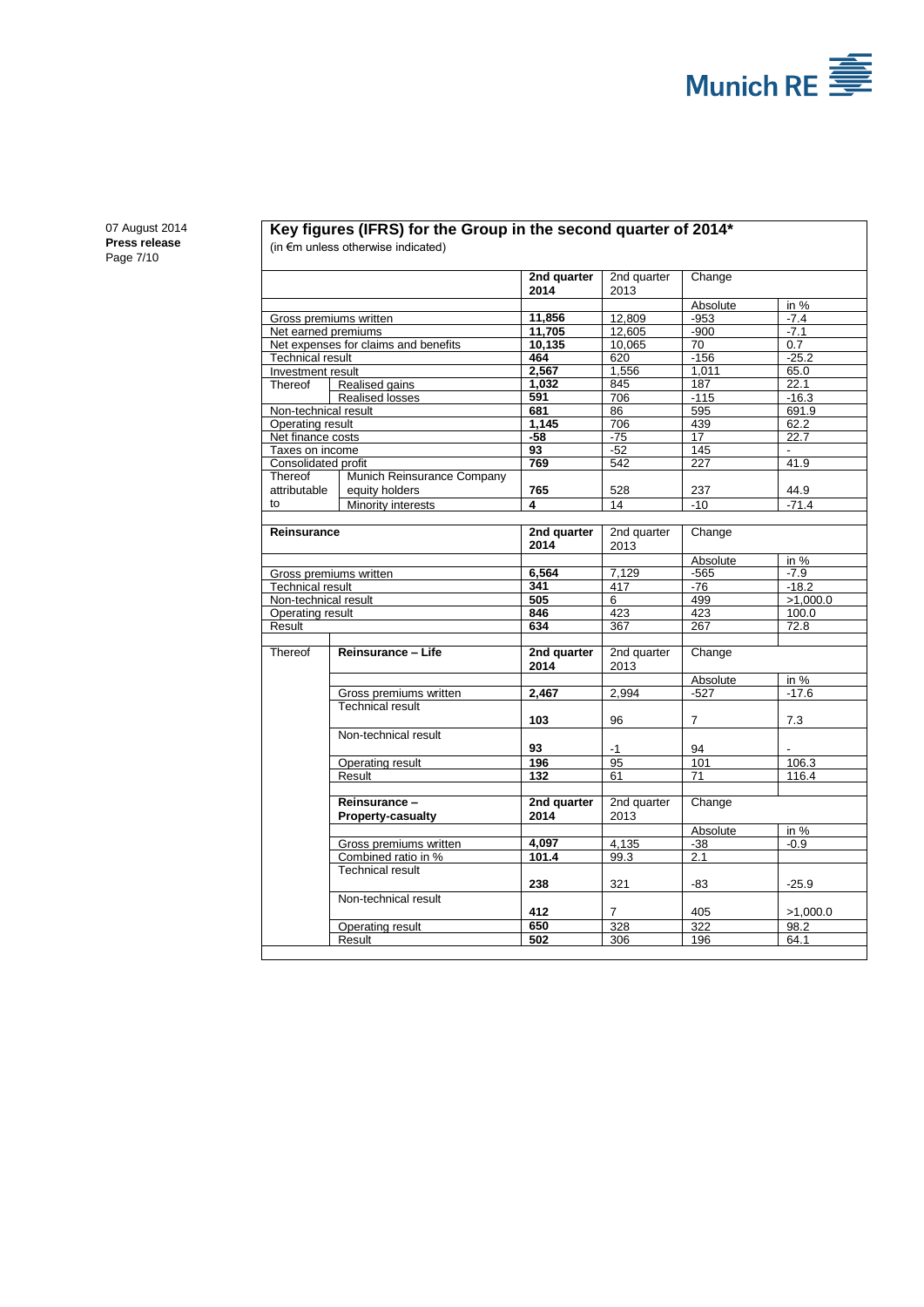

07 August 2014 **Press release** Page 7/10

#### **Key figures (IFRS) for the Group in the second quarter of 2014\*** (in €m unless otherwise indicated)

|                                                                 |                             | 2nd quarter<br>2014 | 2nd quarter<br>2013 | Change       |                        |
|-----------------------------------------------------------------|-----------------------------|---------------------|---------------------|--------------|------------------------|
|                                                                 |                             |                     |                     |              |                        |
|                                                                 |                             | 11,856              | 12.809              | Absolute     | in %                   |
|                                                                 | Gross premiums written      |                     |                     | $-953$       | $-7.4$                 |
| Net earned premiums                                             |                             | 11.705              | 12.605              | $-900$       | $-7.1$                 |
| Net expenses for claims and benefits<br><b>Technical result</b> |                             | 10,135<br>464       | 10,065              | 70<br>$-156$ | 0.7<br>$-25.2$         |
|                                                                 |                             | 2,567               | 620<br>1,556        | 1,011        | 65.0                   |
| Investment result<br>Thereof                                    | Realised gains              | 1,032               | 845                 | 187          | 22.1                   |
|                                                                 | Realised losses             | 591                 | 706                 | $-115$       | $-16.3$                |
|                                                                 |                             | 681                 | 86                  | 595          |                        |
| Non-technical result                                            |                             | 1,145               |                     |              | 691.9                  |
| Operating result                                                |                             |                     | 706                 | 439          | 62.2                   |
| Net finance costs                                               |                             | -58<br>93           | -75<br>$-52$        | 17<br>145    | 22.7<br>$\blacksquare$ |
| Taxes on income                                                 |                             | 769                 |                     |              |                        |
| Consolidated profit                                             |                             |                     | 542                 | 227          | 41.9                   |
| Thereof                                                         | Munich Reinsurance Company  |                     |                     |              |                        |
| attributable                                                    | equity holders              | 765                 | 528                 | 237          | 44.9                   |
| to                                                              | Minority interests          | 4                   | 14                  | $-10$        | $-71.4$                |
|                                                                 |                             |                     |                     |              |                        |
| Reinsurance                                                     |                             | 2nd quarter         | 2nd quarter         | Change       |                        |
|                                                                 |                             | 2014                | 2013                |              |                        |
|                                                                 |                             |                     |                     | Absolute     | in $%$                 |
|                                                                 | Gross premiums written      | 6,564               | 7.129               | $-565$       | $-7.9$                 |
| <b>Technical result</b>                                         |                             | 341                 | 417                 | -76          | $-18.2$                |
|                                                                 | Non-technical result<br>505 |                     | 6                   | 499          | >1,000.0               |
| Operating result                                                |                             | 846                 | 423                 | 423          | 100.0                  |
| Result                                                          |                             | 634                 | 367                 | 267          | 72.8                   |
|                                                                 |                             |                     |                     |              |                        |
| Thereof                                                         | Reinsurance - Life          | 2nd quarter         | 2nd quarter         | Change       |                        |
|                                                                 |                             | 2014                | 2013                |              |                        |
|                                                                 |                             |                     |                     | Absolute     | in $%$                 |
|                                                                 | Gross premiums written      | 2,467               | 2.994               | $-527$       | $-17.6$                |
|                                                                 | Technical result            |                     |                     |              |                        |
|                                                                 |                             | 103                 | 96                  | 7            | 7.3                    |
|                                                                 | Non-technical result        |                     |                     |              |                        |
|                                                                 |                             | 93                  | $-1$                | 94           |                        |
|                                                                 | Operating result            | 196                 | 95                  | 101          | 106.3                  |
|                                                                 | Result                      | 132                 | 61                  | 71           | 116.4                  |
|                                                                 |                             |                     |                     |              |                        |
|                                                                 | Reinsurance-                | 2nd quarter         | 2nd quarter         | Change       |                        |
|                                                                 | <b>Property-casualty</b>    | 2014                | 2013                |              |                        |
|                                                                 |                             |                     |                     | Absolute     | in %                   |
|                                                                 | Gross premiums written      | 4,097               | 4,135               | $-38$        | $-0.9$                 |
|                                                                 | Combined ratio in %         | 101.4               | 99.3                | 2.1          |                        |
|                                                                 | <b>Technical result</b>     |                     |                     |              |                        |
|                                                                 |                             | 238                 | 321                 | -83          | $-25.9$                |
|                                                                 | Non-technical result        |                     |                     |              |                        |
|                                                                 |                             | 412                 | $\overline{7}$      |              |                        |
|                                                                 |                             |                     |                     | 405          | >1,000.0               |
|                                                                 | Operating result            | 650                 | 328                 | 322          | 98.2                   |
|                                                                 | Result                      | 502                 | 306                 | 196          | 64.1                   |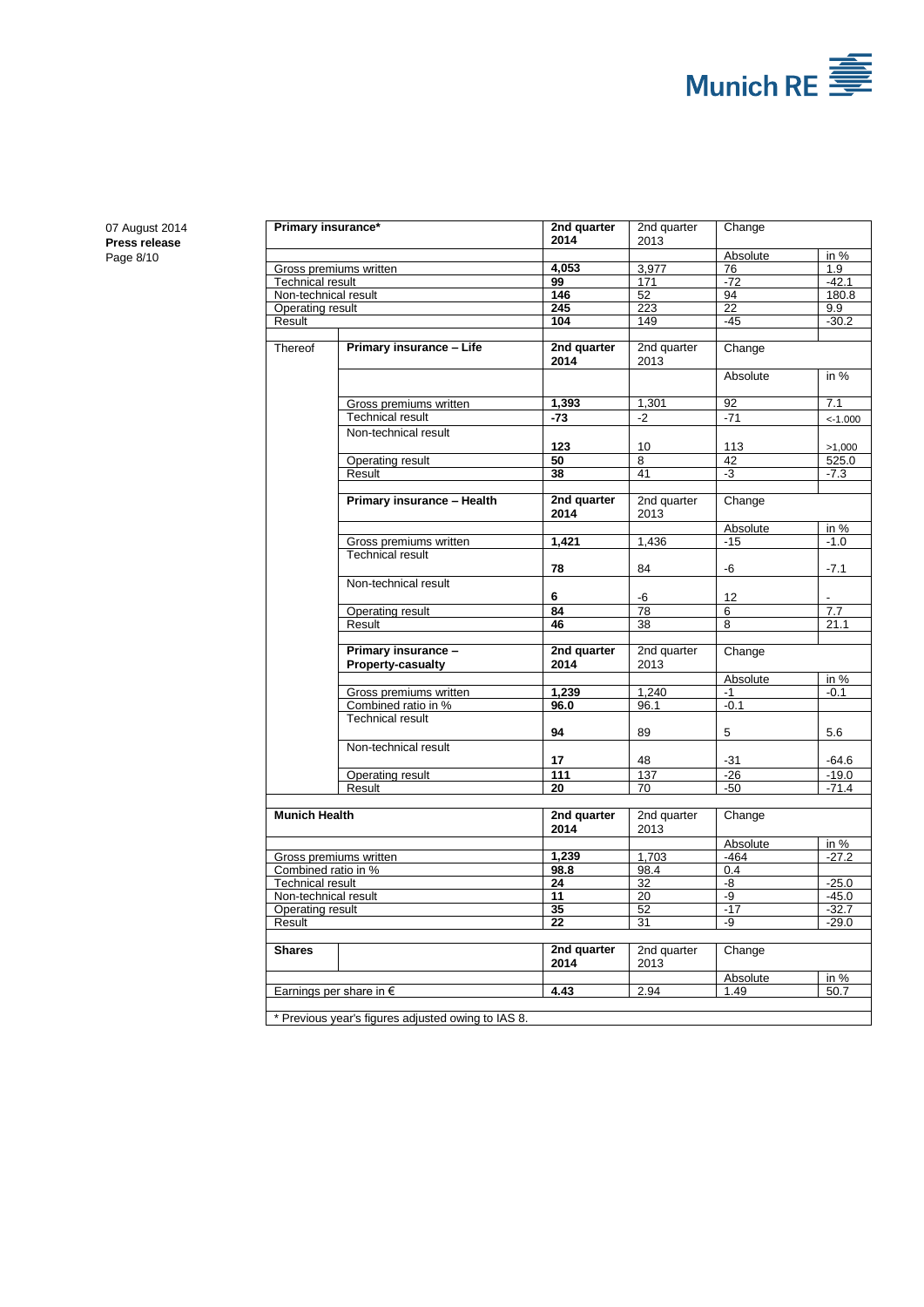

07 August 2014 **Press release** Page 8/10

| Primary insurance*      |                                                    | 2nd quarter<br>2014 | 2nd quarter<br>2013 | Change          |                  |
|-------------------------|----------------------------------------------------|---------------------|---------------------|-----------------|------------------|
|                         |                                                    |                     |                     | Absolute        | in %             |
| Gross premiums written  |                                                    | 4.053               | 3,977               | 76              | 1.9              |
| <b>Technical result</b> |                                                    | 99                  | 171                 | $-72$           | $-42.1$          |
| Non-technical result    |                                                    | 146                 | $\overline{52}$     | 94              | 180.8            |
| <b>Operating result</b> |                                                    | $\overline{245}$    | $\overline{223}$    | $\overline{22}$ | 9.9              |
| Result                  |                                                    | 104                 | 149                 | $-45$           | $-30.2$          |
|                         |                                                    |                     |                     |                 |                  |
| Thereof                 | Primary insurance - Life                           | 2nd quarter         | 2nd quarter         | Change          |                  |
|                         |                                                    | 2014                | 2013                |                 |                  |
|                         |                                                    |                     |                     | Absolute        | in $%$           |
|                         |                                                    |                     |                     |                 |                  |
|                         | Gross premiums written                             | 1,393               | 1,301               | 92              | 7.1              |
|                         | <b>Technical result</b>                            | $-73$               | $-2$                | $-71$           | $< -1.000$       |
|                         | Non-technical result                               |                     |                     |                 |                  |
|                         |                                                    | 123                 | 10                  | 113             | >1,000           |
|                         | Operating result                                   | 50                  | 8                   | 42              | 525.0            |
|                         | Result                                             | 38                  | 41                  | -3              | $-7.3$           |
|                         |                                                    |                     |                     |                 |                  |
|                         | Primary insurance - Health                         | 2nd quarter         | 2nd quarter         | Change          |                  |
|                         |                                                    | 2014                | 2013                |                 |                  |
|                         |                                                    |                     |                     | Absolute        | in %             |
|                         | Gross premiums written                             | 1,421               | 1,436               | $-15$           | $-1.0$           |
|                         | <b>Technical result</b>                            |                     |                     |                 |                  |
|                         |                                                    | 78                  | 84                  | -6              | $-7.1$           |
|                         | Non-technical result                               |                     |                     |                 |                  |
|                         |                                                    | 6                   | -6                  | 12              |                  |
|                         | Operating result                                   | $\overline{84}$     | $\overline{78}$     | 6               | $\overline{7.7}$ |
|                         | Result                                             | 46                  | 38                  | 8               | 21.1             |
|                         |                                                    |                     |                     |                 |                  |
|                         | Primary insurance -                                | 2nd quarter         | 2nd quarter         | Change          |                  |
|                         | Property-casualty                                  | 2014                | 2013                |                 |                  |
|                         |                                                    |                     |                     | Absolute        | in %             |
|                         | Gross premiums written                             | 1,239               | 1.240               | $-1$            | $-0.1$           |
|                         | Combined ratio in %                                | 96.0                | 96.1                | $-0.1$          |                  |
|                         | <b>Technical result</b>                            |                     |                     |                 |                  |
|                         |                                                    | 94                  | 89                  | 5               | 5.6              |
|                         | Non-technical result                               |                     |                     |                 |                  |
|                         |                                                    | 17                  | 48                  | $-31$           | $-64.6$          |
|                         | <b>Operating result</b>                            | 111                 | 137                 | $-26$           | $-19.0$          |
|                         | Result                                             | 20                  | 70                  | $-50$           | $-71.4$          |
|                         |                                                    | 2nd quarter         |                     |                 |                  |
|                         | <b>Munich Health</b>                               |                     | 2nd quarter         | Change          |                  |
|                         |                                                    | 2014                | 2013                |                 |                  |
|                         |                                                    |                     |                     | Absolute        | in %             |
| Gross premiums written  |                                                    | 1,239               | 1.703               | $-464$          | $-27.2$          |
| Combined ratio in %     |                                                    | 98.8                | 98.4                | 0.4             |                  |
| <b>Technical result</b> |                                                    | 24                  | 32                  | -8              | $-25.0$          |
| Non-technical result    |                                                    | $\overline{11}$     | $\overline{20}$     | -9              | $-45.0$          |
| <b>Operating result</b> |                                                    | 35                  | 52                  | $-17$           | $-32.7$          |
| Result                  |                                                    | 22                  | 31                  | -9              | $-29.0$          |
|                         |                                                    |                     |                     |                 |                  |
| <b>Shares</b>           |                                                    | 2nd quarter         | 2nd quarter         | Change          |                  |
|                         |                                                    | 2014                | 2013                |                 |                  |
|                         |                                                    |                     |                     | Absolute        | in %             |
|                         | Earnings per share in $\epsilon$                   | 4.43                | 2.94                | 1.49            | 50.7             |
|                         |                                                    |                     |                     |                 |                  |
|                         | * Previous year's figures adjusted owing to IAS 8. |                     |                     |                 |                  |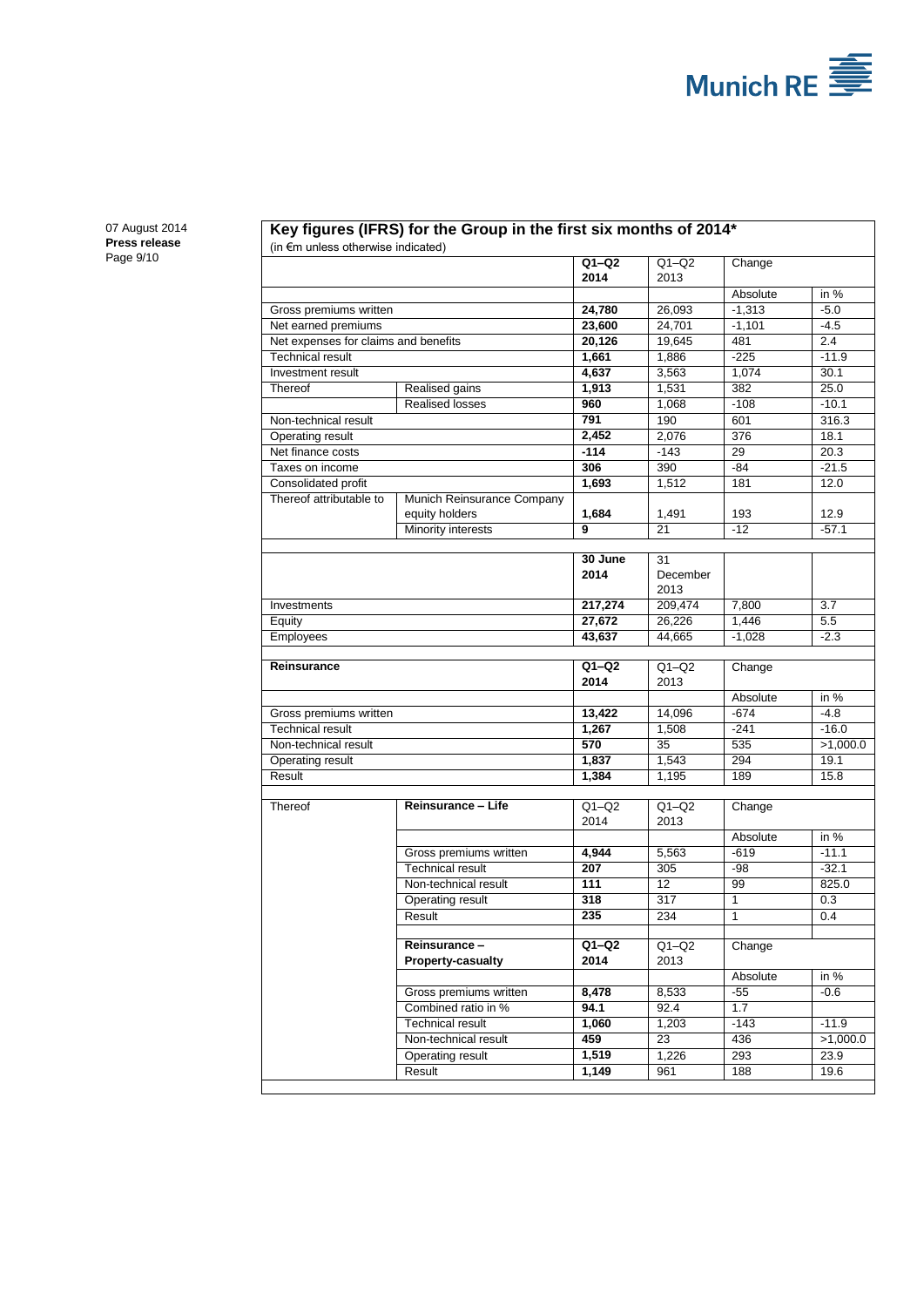

07 August 2014 **Press release** Page 9/10

# **Key figures (IFRS) for the Group in the first six months of 2014\***

(in €m unless otherwise indicated)

| 2014<br>2013<br>Absolute<br>in %<br>24,780<br>$-5.0$<br>Gross premiums written<br>26,093<br>$-1,313$<br>Net earned premiums<br>23,600<br>24,701<br>$-4.5$<br>$-1,101$<br>Net expenses for claims and benefits<br>20,126<br>19,645<br>481<br>2.4<br>1,661<br><b>Technical result</b><br>1,886<br>$-225$<br>$-11.9$<br>4,637<br>3,563<br>1,074<br>Investment result<br>30.1<br>1,531<br>382<br>25.0<br>Realised gains<br>1,913<br>Thereof<br><b>Realised losses</b><br>960<br>1,068<br>$-108$<br>$-10.1$<br>190<br>316.3<br>Non-technical result<br>791<br>601<br>2,452<br>2,076<br>376<br>18.1<br>Operating result<br>Net finance costs<br>$-143$<br>$-114$<br>29<br>20.3<br>306<br>390<br>$-21.5$<br>Taxes on income<br>$-84$<br>1,693<br>Consolidated profit<br>1,512<br>181<br>12.0<br>Thereof attributable to<br>Munich Reinsurance Company<br>1,684<br>equity holders<br>1,491<br>193<br>12.9<br>9<br>Minority interests<br>21<br>$-12$<br>$-57.1$<br>30 June<br>31<br>2014<br>December<br>2013<br>217,274<br>7,800<br>209,474<br>3.7<br>Investments<br>27,672<br>1,446<br>5.5<br>26,226<br>Equity<br>43,637<br><b>Employees</b><br>44,665<br>$-1,028$<br>$-2.3$<br>$Q1-Q2$<br>$Q1-Q2$<br>Reinsurance<br>Change<br>2014<br>2013<br>Absolute<br>in %<br>$-4.8$<br>13,422<br>14,096<br>$-674$<br>Gross premiums written<br><b>Technical result</b><br>1,267<br>1,508<br>$-241$<br>$-16.0$<br>$\overline{570}$<br>535<br>Non-technical result<br>35<br>>1,000.0<br>1,837<br>1,543<br>294<br>19.1<br>Operating result<br>Result<br>1,384<br>1,195<br>189<br>15.8<br>Reinsurance - Life<br>$Q1-Q2$<br>$Q1-Q2$<br>Thereof<br>Change<br>2014<br>2013<br>Absolute<br>in %<br>$-11.1$<br>4,944<br>5,563<br>$-619$<br>Gross premiums written<br>207<br><b>Technical result</b><br>305<br>-98<br>$-32.1$<br>111<br>$\overline{12}$<br>99<br>Non-technical result<br>825.0<br>Operating result<br>318<br>317<br>$\mathbf{1}$<br>0.3<br>Result<br>235<br>234<br>$\mathbf{1}$<br>0.4<br>$Q1-Q2$<br>$Q1-Q2$<br>Change<br>Reinsurance –<br><b>Property-casualty</b><br>2014<br>2013<br>in %<br>Absolute<br>Gross premiums written<br>8,478<br>8,533<br>-55<br>$-0.6$<br>94.1<br>Combined ratio in %<br>92.4<br>1.7<br>1,060<br>1,203<br>$-143$<br>$-11.9$<br><b>Technical result</b><br>459<br>Non-technical result<br>23<br>436<br>>1,000.0<br>1,519<br>293<br>23.9<br>1,226<br>Operating result<br>Result<br>1,149<br>961<br>188<br>19.6 |  |  |         |         |        |  |
|--------------------------------------------------------------------------------------------------------------------------------------------------------------------------------------------------------------------------------------------------------------------------------------------------------------------------------------------------------------------------------------------------------------------------------------------------------------------------------------------------------------------------------------------------------------------------------------------------------------------------------------------------------------------------------------------------------------------------------------------------------------------------------------------------------------------------------------------------------------------------------------------------------------------------------------------------------------------------------------------------------------------------------------------------------------------------------------------------------------------------------------------------------------------------------------------------------------------------------------------------------------------------------------------------------------------------------------------------------------------------------------------------------------------------------------------------------------------------------------------------------------------------------------------------------------------------------------------------------------------------------------------------------------------------------------------------------------------------------------------------------------------------------------------------------------------------------------------------------------------------------------------------------------------------------------------------------------------------------------------------------------------------------------------------------------------------------------------------------------------------------------------------------------------------------------------------------------------------------------------------------------------------------------------------------------------------------------------------------------------------------------------------------------------------------|--|--|---------|---------|--------|--|
|                                                                                                                                                                                                                                                                                                                                                                                                                                                                                                                                                                                                                                                                                                                                                                                                                                                                                                                                                                                                                                                                                                                                                                                                                                                                                                                                                                                                                                                                                                                                                                                                                                                                                                                                                                                                                                                                                                                                                                                                                                                                                                                                                                                                                                                                                                                                                                                                                                |  |  | $Q1-Q2$ | $Q1-Q2$ | Change |  |
|                                                                                                                                                                                                                                                                                                                                                                                                                                                                                                                                                                                                                                                                                                                                                                                                                                                                                                                                                                                                                                                                                                                                                                                                                                                                                                                                                                                                                                                                                                                                                                                                                                                                                                                                                                                                                                                                                                                                                                                                                                                                                                                                                                                                                                                                                                                                                                                                                                |  |  |         |         |        |  |
|                                                                                                                                                                                                                                                                                                                                                                                                                                                                                                                                                                                                                                                                                                                                                                                                                                                                                                                                                                                                                                                                                                                                                                                                                                                                                                                                                                                                                                                                                                                                                                                                                                                                                                                                                                                                                                                                                                                                                                                                                                                                                                                                                                                                                                                                                                                                                                                                                                |  |  |         |         |        |  |
|                                                                                                                                                                                                                                                                                                                                                                                                                                                                                                                                                                                                                                                                                                                                                                                                                                                                                                                                                                                                                                                                                                                                                                                                                                                                                                                                                                                                                                                                                                                                                                                                                                                                                                                                                                                                                                                                                                                                                                                                                                                                                                                                                                                                                                                                                                                                                                                                                                |  |  |         |         |        |  |
|                                                                                                                                                                                                                                                                                                                                                                                                                                                                                                                                                                                                                                                                                                                                                                                                                                                                                                                                                                                                                                                                                                                                                                                                                                                                                                                                                                                                                                                                                                                                                                                                                                                                                                                                                                                                                                                                                                                                                                                                                                                                                                                                                                                                                                                                                                                                                                                                                                |  |  |         |         |        |  |
|                                                                                                                                                                                                                                                                                                                                                                                                                                                                                                                                                                                                                                                                                                                                                                                                                                                                                                                                                                                                                                                                                                                                                                                                                                                                                                                                                                                                                                                                                                                                                                                                                                                                                                                                                                                                                                                                                                                                                                                                                                                                                                                                                                                                                                                                                                                                                                                                                                |  |  |         |         |        |  |
|                                                                                                                                                                                                                                                                                                                                                                                                                                                                                                                                                                                                                                                                                                                                                                                                                                                                                                                                                                                                                                                                                                                                                                                                                                                                                                                                                                                                                                                                                                                                                                                                                                                                                                                                                                                                                                                                                                                                                                                                                                                                                                                                                                                                                                                                                                                                                                                                                                |  |  |         |         |        |  |
|                                                                                                                                                                                                                                                                                                                                                                                                                                                                                                                                                                                                                                                                                                                                                                                                                                                                                                                                                                                                                                                                                                                                                                                                                                                                                                                                                                                                                                                                                                                                                                                                                                                                                                                                                                                                                                                                                                                                                                                                                                                                                                                                                                                                                                                                                                                                                                                                                                |  |  |         |         |        |  |
|                                                                                                                                                                                                                                                                                                                                                                                                                                                                                                                                                                                                                                                                                                                                                                                                                                                                                                                                                                                                                                                                                                                                                                                                                                                                                                                                                                                                                                                                                                                                                                                                                                                                                                                                                                                                                                                                                                                                                                                                                                                                                                                                                                                                                                                                                                                                                                                                                                |  |  |         |         |        |  |
|                                                                                                                                                                                                                                                                                                                                                                                                                                                                                                                                                                                                                                                                                                                                                                                                                                                                                                                                                                                                                                                                                                                                                                                                                                                                                                                                                                                                                                                                                                                                                                                                                                                                                                                                                                                                                                                                                                                                                                                                                                                                                                                                                                                                                                                                                                                                                                                                                                |  |  |         |         |        |  |
|                                                                                                                                                                                                                                                                                                                                                                                                                                                                                                                                                                                                                                                                                                                                                                                                                                                                                                                                                                                                                                                                                                                                                                                                                                                                                                                                                                                                                                                                                                                                                                                                                                                                                                                                                                                                                                                                                                                                                                                                                                                                                                                                                                                                                                                                                                                                                                                                                                |  |  |         |         |        |  |
|                                                                                                                                                                                                                                                                                                                                                                                                                                                                                                                                                                                                                                                                                                                                                                                                                                                                                                                                                                                                                                                                                                                                                                                                                                                                                                                                                                                                                                                                                                                                                                                                                                                                                                                                                                                                                                                                                                                                                                                                                                                                                                                                                                                                                                                                                                                                                                                                                                |  |  |         |         |        |  |
|                                                                                                                                                                                                                                                                                                                                                                                                                                                                                                                                                                                                                                                                                                                                                                                                                                                                                                                                                                                                                                                                                                                                                                                                                                                                                                                                                                                                                                                                                                                                                                                                                                                                                                                                                                                                                                                                                                                                                                                                                                                                                                                                                                                                                                                                                                                                                                                                                                |  |  |         |         |        |  |
|                                                                                                                                                                                                                                                                                                                                                                                                                                                                                                                                                                                                                                                                                                                                                                                                                                                                                                                                                                                                                                                                                                                                                                                                                                                                                                                                                                                                                                                                                                                                                                                                                                                                                                                                                                                                                                                                                                                                                                                                                                                                                                                                                                                                                                                                                                                                                                                                                                |  |  |         |         |        |  |
|                                                                                                                                                                                                                                                                                                                                                                                                                                                                                                                                                                                                                                                                                                                                                                                                                                                                                                                                                                                                                                                                                                                                                                                                                                                                                                                                                                                                                                                                                                                                                                                                                                                                                                                                                                                                                                                                                                                                                                                                                                                                                                                                                                                                                                                                                                                                                                                                                                |  |  |         |         |        |  |
|                                                                                                                                                                                                                                                                                                                                                                                                                                                                                                                                                                                                                                                                                                                                                                                                                                                                                                                                                                                                                                                                                                                                                                                                                                                                                                                                                                                                                                                                                                                                                                                                                                                                                                                                                                                                                                                                                                                                                                                                                                                                                                                                                                                                                                                                                                                                                                                                                                |  |  |         |         |        |  |
|                                                                                                                                                                                                                                                                                                                                                                                                                                                                                                                                                                                                                                                                                                                                                                                                                                                                                                                                                                                                                                                                                                                                                                                                                                                                                                                                                                                                                                                                                                                                                                                                                                                                                                                                                                                                                                                                                                                                                                                                                                                                                                                                                                                                                                                                                                                                                                                                                                |  |  |         |         |        |  |
|                                                                                                                                                                                                                                                                                                                                                                                                                                                                                                                                                                                                                                                                                                                                                                                                                                                                                                                                                                                                                                                                                                                                                                                                                                                                                                                                                                                                                                                                                                                                                                                                                                                                                                                                                                                                                                                                                                                                                                                                                                                                                                                                                                                                                                                                                                                                                                                                                                |  |  |         |         |        |  |
|                                                                                                                                                                                                                                                                                                                                                                                                                                                                                                                                                                                                                                                                                                                                                                                                                                                                                                                                                                                                                                                                                                                                                                                                                                                                                                                                                                                                                                                                                                                                                                                                                                                                                                                                                                                                                                                                                                                                                                                                                                                                                                                                                                                                                                                                                                                                                                                                                                |  |  |         |         |        |  |
|                                                                                                                                                                                                                                                                                                                                                                                                                                                                                                                                                                                                                                                                                                                                                                                                                                                                                                                                                                                                                                                                                                                                                                                                                                                                                                                                                                                                                                                                                                                                                                                                                                                                                                                                                                                                                                                                                                                                                                                                                                                                                                                                                                                                                                                                                                                                                                                                                                |  |  |         |         |        |  |
|                                                                                                                                                                                                                                                                                                                                                                                                                                                                                                                                                                                                                                                                                                                                                                                                                                                                                                                                                                                                                                                                                                                                                                                                                                                                                                                                                                                                                                                                                                                                                                                                                                                                                                                                                                                                                                                                                                                                                                                                                                                                                                                                                                                                                                                                                                                                                                                                                                |  |  |         |         |        |  |
|                                                                                                                                                                                                                                                                                                                                                                                                                                                                                                                                                                                                                                                                                                                                                                                                                                                                                                                                                                                                                                                                                                                                                                                                                                                                                                                                                                                                                                                                                                                                                                                                                                                                                                                                                                                                                                                                                                                                                                                                                                                                                                                                                                                                                                                                                                                                                                                                                                |  |  |         |         |        |  |
|                                                                                                                                                                                                                                                                                                                                                                                                                                                                                                                                                                                                                                                                                                                                                                                                                                                                                                                                                                                                                                                                                                                                                                                                                                                                                                                                                                                                                                                                                                                                                                                                                                                                                                                                                                                                                                                                                                                                                                                                                                                                                                                                                                                                                                                                                                                                                                                                                                |  |  |         |         |        |  |
|                                                                                                                                                                                                                                                                                                                                                                                                                                                                                                                                                                                                                                                                                                                                                                                                                                                                                                                                                                                                                                                                                                                                                                                                                                                                                                                                                                                                                                                                                                                                                                                                                                                                                                                                                                                                                                                                                                                                                                                                                                                                                                                                                                                                                                                                                                                                                                                                                                |  |  |         |         |        |  |
|                                                                                                                                                                                                                                                                                                                                                                                                                                                                                                                                                                                                                                                                                                                                                                                                                                                                                                                                                                                                                                                                                                                                                                                                                                                                                                                                                                                                                                                                                                                                                                                                                                                                                                                                                                                                                                                                                                                                                                                                                                                                                                                                                                                                                                                                                                                                                                                                                                |  |  |         |         |        |  |
|                                                                                                                                                                                                                                                                                                                                                                                                                                                                                                                                                                                                                                                                                                                                                                                                                                                                                                                                                                                                                                                                                                                                                                                                                                                                                                                                                                                                                                                                                                                                                                                                                                                                                                                                                                                                                                                                                                                                                                                                                                                                                                                                                                                                                                                                                                                                                                                                                                |  |  |         |         |        |  |
|                                                                                                                                                                                                                                                                                                                                                                                                                                                                                                                                                                                                                                                                                                                                                                                                                                                                                                                                                                                                                                                                                                                                                                                                                                                                                                                                                                                                                                                                                                                                                                                                                                                                                                                                                                                                                                                                                                                                                                                                                                                                                                                                                                                                                                                                                                                                                                                                                                |  |  |         |         |        |  |
|                                                                                                                                                                                                                                                                                                                                                                                                                                                                                                                                                                                                                                                                                                                                                                                                                                                                                                                                                                                                                                                                                                                                                                                                                                                                                                                                                                                                                                                                                                                                                                                                                                                                                                                                                                                                                                                                                                                                                                                                                                                                                                                                                                                                                                                                                                                                                                                                                                |  |  |         |         |        |  |
|                                                                                                                                                                                                                                                                                                                                                                                                                                                                                                                                                                                                                                                                                                                                                                                                                                                                                                                                                                                                                                                                                                                                                                                                                                                                                                                                                                                                                                                                                                                                                                                                                                                                                                                                                                                                                                                                                                                                                                                                                                                                                                                                                                                                                                                                                                                                                                                                                                |  |  |         |         |        |  |
|                                                                                                                                                                                                                                                                                                                                                                                                                                                                                                                                                                                                                                                                                                                                                                                                                                                                                                                                                                                                                                                                                                                                                                                                                                                                                                                                                                                                                                                                                                                                                                                                                                                                                                                                                                                                                                                                                                                                                                                                                                                                                                                                                                                                                                                                                                                                                                                                                                |  |  |         |         |        |  |
|                                                                                                                                                                                                                                                                                                                                                                                                                                                                                                                                                                                                                                                                                                                                                                                                                                                                                                                                                                                                                                                                                                                                                                                                                                                                                                                                                                                                                                                                                                                                                                                                                                                                                                                                                                                                                                                                                                                                                                                                                                                                                                                                                                                                                                                                                                                                                                                                                                |  |  |         |         |        |  |
|                                                                                                                                                                                                                                                                                                                                                                                                                                                                                                                                                                                                                                                                                                                                                                                                                                                                                                                                                                                                                                                                                                                                                                                                                                                                                                                                                                                                                                                                                                                                                                                                                                                                                                                                                                                                                                                                                                                                                                                                                                                                                                                                                                                                                                                                                                                                                                                                                                |  |  |         |         |        |  |
|                                                                                                                                                                                                                                                                                                                                                                                                                                                                                                                                                                                                                                                                                                                                                                                                                                                                                                                                                                                                                                                                                                                                                                                                                                                                                                                                                                                                                                                                                                                                                                                                                                                                                                                                                                                                                                                                                                                                                                                                                                                                                                                                                                                                                                                                                                                                                                                                                                |  |  |         |         |        |  |
|                                                                                                                                                                                                                                                                                                                                                                                                                                                                                                                                                                                                                                                                                                                                                                                                                                                                                                                                                                                                                                                                                                                                                                                                                                                                                                                                                                                                                                                                                                                                                                                                                                                                                                                                                                                                                                                                                                                                                                                                                                                                                                                                                                                                                                                                                                                                                                                                                                |  |  |         |         |        |  |
|                                                                                                                                                                                                                                                                                                                                                                                                                                                                                                                                                                                                                                                                                                                                                                                                                                                                                                                                                                                                                                                                                                                                                                                                                                                                                                                                                                                                                                                                                                                                                                                                                                                                                                                                                                                                                                                                                                                                                                                                                                                                                                                                                                                                                                                                                                                                                                                                                                |  |  |         |         |        |  |
|                                                                                                                                                                                                                                                                                                                                                                                                                                                                                                                                                                                                                                                                                                                                                                                                                                                                                                                                                                                                                                                                                                                                                                                                                                                                                                                                                                                                                                                                                                                                                                                                                                                                                                                                                                                                                                                                                                                                                                                                                                                                                                                                                                                                                                                                                                                                                                                                                                |  |  |         |         |        |  |
|                                                                                                                                                                                                                                                                                                                                                                                                                                                                                                                                                                                                                                                                                                                                                                                                                                                                                                                                                                                                                                                                                                                                                                                                                                                                                                                                                                                                                                                                                                                                                                                                                                                                                                                                                                                                                                                                                                                                                                                                                                                                                                                                                                                                                                                                                                                                                                                                                                |  |  |         |         |        |  |
|                                                                                                                                                                                                                                                                                                                                                                                                                                                                                                                                                                                                                                                                                                                                                                                                                                                                                                                                                                                                                                                                                                                                                                                                                                                                                                                                                                                                                                                                                                                                                                                                                                                                                                                                                                                                                                                                                                                                                                                                                                                                                                                                                                                                                                                                                                                                                                                                                                |  |  |         |         |        |  |
|                                                                                                                                                                                                                                                                                                                                                                                                                                                                                                                                                                                                                                                                                                                                                                                                                                                                                                                                                                                                                                                                                                                                                                                                                                                                                                                                                                                                                                                                                                                                                                                                                                                                                                                                                                                                                                                                                                                                                                                                                                                                                                                                                                                                                                                                                                                                                                                                                                |  |  |         |         |        |  |
|                                                                                                                                                                                                                                                                                                                                                                                                                                                                                                                                                                                                                                                                                                                                                                                                                                                                                                                                                                                                                                                                                                                                                                                                                                                                                                                                                                                                                                                                                                                                                                                                                                                                                                                                                                                                                                                                                                                                                                                                                                                                                                                                                                                                                                                                                                                                                                                                                                |  |  |         |         |        |  |
|                                                                                                                                                                                                                                                                                                                                                                                                                                                                                                                                                                                                                                                                                                                                                                                                                                                                                                                                                                                                                                                                                                                                                                                                                                                                                                                                                                                                                                                                                                                                                                                                                                                                                                                                                                                                                                                                                                                                                                                                                                                                                                                                                                                                                                                                                                                                                                                                                                |  |  |         |         |        |  |
|                                                                                                                                                                                                                                                                                                                                                                                                                                                                                                                                                                                                                                                                                                                                                                                                                                                                                                                                                                                                                                                                                                                                                                                                                                                                                                                                                                                                                                                                                                                                                                                                                                                                                                                                                                                                                                                                                                                                                                                                                                                                                                                                                                                                                                                                                                                                                                                                                                |  |  |         |         |        |  |
|                                                                                                                                                                                                                                                                                                                                                                                                                                                                                                                                                                                                                                                                                                                                                                                                                                                                                                                                                                                                                                                                                                                                                                                                                                                                                                                                                                                                                                                                                                                                                                                                                                                                                                                                                                                                                                                                                                                                                                                                                                                                                                                                                                                                                                                                                                                                                                                                                                |  |  |         |         |        |  |
|                                                                                                                                                                                                                                                                                                                                                                                                                                                                                                                                                                                                                                                                                                                                                                                                                                                                                                                                                                                                                                                                                                                                                                                                                                                                                                                                                                                                                                                                                                                                                                                                                                                                                                                                                                                                                                                                                                                                                                                                                                                                                                                                                                                                                                                                                                                                                                                                                                |  |  |         |         |        |  |
|                                                                                                                                                                                                                                                                                                                                                                                                                                                                                                                                                                                                                                                                                                                                                                                                                                                                                                                                                                                                                                                                                                                                                                                                                                                                                                                                                                                                                                                                                                                                                                                                                                                                                                                                                                                                                                                                                                                                                                                                                                                                                                                                                                                                                                                                                                                                                                                                                                |  |  |         |         |        |  |
|                                                                                                                                                                                                                                                                                                                                                                                                                                                                                                                                                                                                                                                                                                                                                                                                                                                                                                                                                                                                                                                                                                                                                                                                                                                                                                                                                                                                                                                                                                                                                                                                                                                                                                                                                                                                                                                                                                                                                                                                                                                                                                                                                                                                                                                                                                                                                                                                                                |  |  |         |         |        |  |
|                                                                                                                                                                                                                                                                                                                                                                                                                                                                                                                                                                                                                                                                                                                                                                                                                                                                                                                                                                                                                                                                                                                                                                                                                                                                                                                                                                                                                                                                                                                                                                                                                                                                                                                                                                                                                                                                                                                                                                                                                                                                                                                                                                                                                                                                                                                                                                                                                                |  |  |         |         |        |  |
|                                                                                                                                                                                                                                                                                                                                                                                                                                                                                                                                                                                                                                                                                                                                                                                                                                                                                                                                                                                                                                                                                                                                                                                                                                                                                                                                                                                                                                                                                                                                                                                                                                                                                                                                                                                                                                                                                                                                                                                                                                                                                                                                                                                                                                                                                                                                                                                                                                |  |  |         |         |        |  |
|                                                                                                                                                                                                                                                                                                                                                                                                                                                                                                                                                                                                                                                                                                                                                                                                                                                                                                                                                                                                                                                                                                                                                                                                                                                                                                                                                                                                                                                                                                                                                                                                                                                                                                                                                                                                                                                                                                                                                                                                                                                                                                                                                                                                                                                                                                                                                                                                                                |  |  |         |         |        |  |
|                                                                                                                                                                                                                                                                                                                                                                                                                                                                                                                                                                                                                                                                                                                                                                                                                                                                                                                                                                                                                                                                                                                                                                                                                                                                                                                                                                                                                                                                                                                                                                                                                                                                                                                                                                                                                                                                                                                                                                                                                                                                                                                                                                                                                                                                                                                                                                                                                                |  |  |         |         |        |  |
|                                                                                                                                                                                                                                                                                                                                                                                                                                                                                                                                                                                                                                                                                                                                                                                                                                                                                                                                                                                                                                                                                                                                                                                                                                                                                                                                                                                                                                                                                                                                                                                                                                                                                                                                                                                                                                                                                                                                                                                                                                                                                                                                                                                                                                                                                                                                                                                                                                |  |  |         |         |        |  |
|                                                                                                                                                                                                                                                                                                                                                                                                                                                                                                                                                                                                                                                                                                                                                                                                                                                                                                                                                                                                                                                                                                                                                                                                                                                                                                                                                                                                                                                                                                                                                                                                                                                                                                                                                                                                                                                                                                                                                                                                                                                                                                                                                                                                                                                                                                                                                                                                                                |  |  |         |         |        |  |